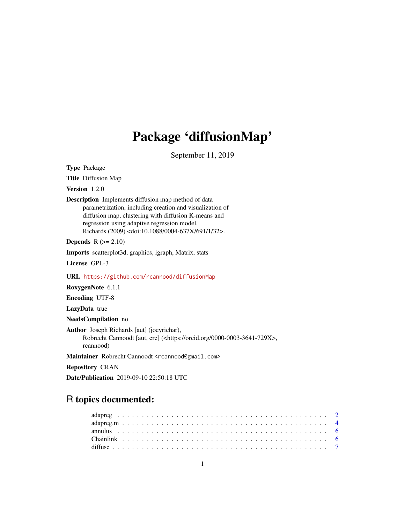# Package 'diffusionMap'

September 11, 2019

<span id="page-0-0"></span>Type Package

Title Diffusion Map

Version 1.2.0

Description Implements diffusion map method of data parametrization, including creation and visualization of diffusion map, clustering with diffusion K-means and regression using adaptive regression model. Richards (2009) <doi:10.1088/0004-637X/691/1/32>.

**Depends**  $R$  ( $>= 2.10$ )

Imports scatterplot3d, graphics, igraph, Matrix, stats

License GPL-3

URL <https://github.com/rcannood/diffusionMap>

RoxygenNote 6.1.1

Encoding UTF-8

LazyData true

NeedsCompilation no

Author Joseph Richards [aut] (joeyrichar), Robrecht Cannoodt [aut, cre] (<https://orcid.org/0000-0003-3641-729X>, rcannood)

Maintainer Robrecht Cannoodt <rcannood@gmail.com>

Repository CRAN

Date/Publication 2019-09-10 22:50:18 UTC

# R topics documented: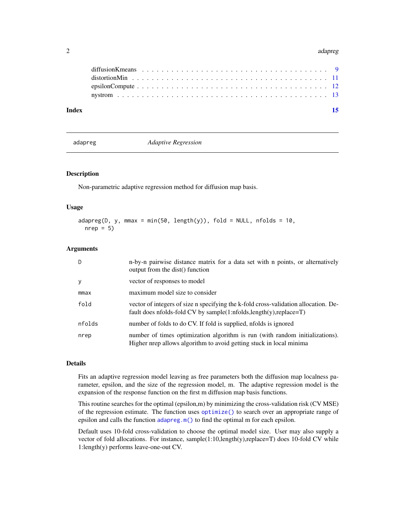#### <span id="page-1-0"></span>2 adapreg adapreg adapreg adapreg adapreg adapreg adapreg adapreg adapreg adapreg adapreg adapreg adapreg adapreg

| Index |  |
|-------|--|
|       |  |
|       |  |
|       |  |
|       |  |
|       |  |

<span id="page-1-1"></span>adapreg *Adaptive Regression*

# Description

Non-parametric adaptive regression method for diffusion map basis.

#### Usage

 $adapreg(D, y, mmax = min(50, length(y)), fold = NULL, n folds = 10,$  $nrep = 5$ 

#### Arguments

| D.     | n-by-n pairwise distance matrix for a data set with n points, or alternatively<br>output from the dist() function                                            |
|--------|--------------------------------------------------------------------------------------------------------------------------------------------------------------|
| y      | vector of responses to model                                                                                                                                 |
| mmax   | maximum model size to consider                                                                                                                               |
| fold   | vector of integers of size n specifying the k-fold cross-validation allocation. De-<br>fault does nfolds-fold CV by sample $(1:nfolds.length(v), replace=T)$ |
| nfolds | number of folds to do CV. If fold is supplied, nfolds is ignored                                                                                             |
| nrep   | number of times optimization algorithm is run (with random initializations).<br>Higher nrep allows algorithm to avoid getting stuck in local minima          |

# Details

Fits an adaptive regression model leaving as free parameters both the diffusion map localness parameter, epsilon, and the size of the regression model, m. The adaptive regression model is the expansion of the response function on the first m diffusion map basis functions.

This routine searches for the optimal (epsilon,m) by minimizing the cross-validation risk (CV MSE) of the regression estimate. The function uses [optimize\(\)](#page-0-0) to search over an appropriate range of epsilon and calls the function [adapreg.m\(\)](#page-3-1) to find the optimal m for each epsilon.

Default uses 10-fold cross-validation to choose the optimal model size. User may also supply a vector of fold allocations. For instance, sample(1:10,length(y),replace=T) does 10-fold CV while 1:length(y) performs leave-one-out CV.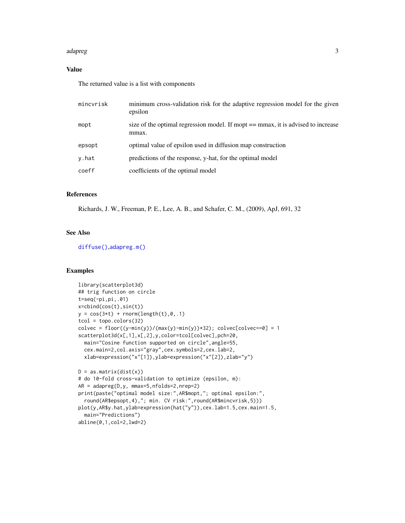#### <span id="page-2-0"></span>adapreg 3

# Value

The returned value is a list with components

| mincyrisk | minimum cross-validation risk for the adaptive regression model for the given<br>epsilon  |
|-----------|-------------------------------------------------------------------------------------------|
| mopt      | size of the optimal regression model. If mopt == mmax, it is advised to increase<br>mmax. |
| epsopt    | optimal value of epsilon used in diffusion map construction                               |
| y.hat     | predictions of the response, y-hat, for the optimal model                                 |
| coeff     | coefficients of the optimal model                                                         |

# References

Richards, J. W., Freeman, P. E., Lee, A. B., and Schafer, C. M., (2009), ApJ, 691, 32

# See Also

[diffuse\(\)](#page-6-1),[adapreg.m\(\)](#page-3-1)

```
library(scatterplot3d)
## trig function on circle
t=seq(-pi,pi,.01)
x=cbind(cos(t),sin(t))
y = cos(3*t) + rnorm(length(t), 0, .1)tcol = topo.colors(32)
colvec = floor((y-min(y))/(max(y)-min(y))*32); colvec[colvec==0] = 1
scatterplot3d(x[,1],x[,2],y,color=tcol[colvec],pch=20,
  main="Cosine function supported on circle",angle=55,
  cex.main=2,col.axis="gray",cex.symbols=2,cex.lab=2,
  xlab=expression("x"[1]),ylab=expression("x"[2]),zlab="y")
D = as_matrix(dist(x))# do 10-fold cross-validation to optimize (epsilon, m):
AR = adapreg(D,y, mmax=5,nfolds=2,nrep=2)
print(paste("optimal model size:",AR$mopt,"; optimal epsilon:",
  round(AR$epsopt,4),"; min. CV risk:",round(AR$mincvrisk,5)))
plot(y,AR$y.hat,ylab=expression(hat("y")),cex.lab=1.5,cex.main=1.5,
  main="Predictions")
abline(0,1,col=2,lwd=2)
```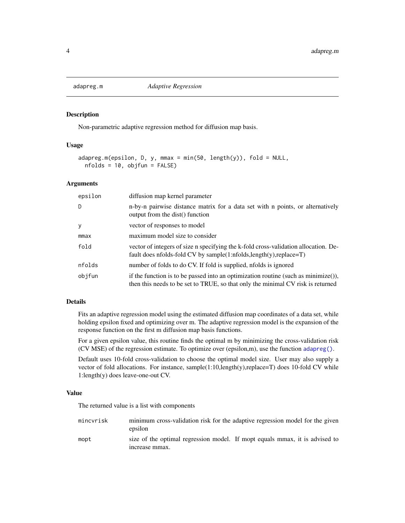<span id="page-3-1"></span><span id="page-3-0"></span>

#### Description

Non-parametric adaptive regression method for diffusion map basis.

# Usage

```
adapreg.m(epsilon, D, y, mmax = min(50, length(y)), fold = NULL,nfolds = 10, objfun = FALSE)
```
#### Arguments

| epsilon | diffusion map kernel parameter                                                                                                                                           |
|---------|--------------------------------------------------------------------------------------------------------------------------------------------------------------------------|
| D       | n-by-n pairwise distance matrix for a data set with n points, or alternatively<br>output from the dist() function                                                        |
| y       | vector of responses to model                                                                                                                                             |
| mmax    | maximum model size to consider                                                                                                                                           |
| fold    | vector of integers of size n specifying the k-fold cross-validation allocation. De-<br>fault does nfolds-fold CV by sample(1:nfolds, length(y), replace=T)               |
| nfolds  | number of folds to do CV. If fold is supplied, nfolds is ignored                                                                                                         |
| objfun  | if the function is to be passed into an optimization routine (such as $minimize()$ ),<br>then this needs to be set to TRUE, so that only the minimal CV risk is returned |

# Details

Fits an adaptive regression model using the estimated diffusion map coordinates of a data set, while holding epsilon fixed and optimizing over m. The adaptive regression model is the expansion of the response function on the first m diffusion map basis functions.

For a given epsilon value, this routine finds the optimal m by minimizing the cross-validation risk (CV MSE) of the regression estimate. To optimize over (epsilon,m), use the function [adapreg\(\)](#page-1-1).

Default uses 10-fold cross-validation to choose the optimal model size. User may also supply a vector of fold allocations. For instance, sample(1:10,length(y),replace=T) does 10-fold CV while 1:length(y) does leave-one-out CV.

### Value

The returned value is a list with components

| mincvrisk | minimum cross-validation risk for the adaptive regression model for the given<br>epsilon      |
|-----------|-----------------------------------------------------------------------------------------------|
| mopt      | size of the optimal regression model. If mopt equals mmax, it is advised to<br>increase mmax. |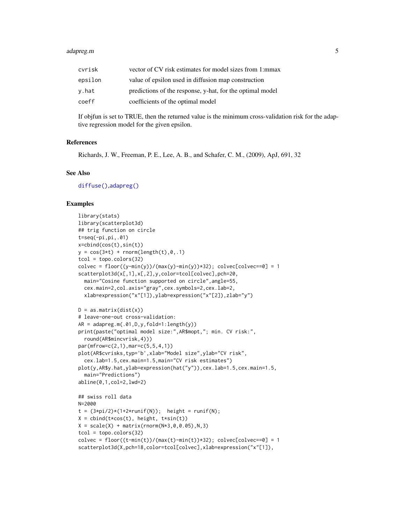#### <span id="page-4-0"></span>adapreg.m 5

| cvrisk  | vector of CV risk estimates for model sizes from 1:mmax   |
|---------|-----------------------------------------------------------|
| epsilon | value of epsilon used in diffusion map construction       |
| v.hat   | predictions of the response, y-hat, for the optimal model |
| coeff   | coefficients of the optimal model                         |

If objfun is set to TRUE, then the returned value is the minimum cross-validation risk for the adaptive regression model for the given epsilon.

#### References

Richards, J. W., Freeman, P. E., Lee, A. B., and Schafer, C. M., (2009), ApJ, 691, 32

# See Also

[diffuse\(\)](#page-6-1),[adapreg\(\)](#page-1-1)

```
library(stats)
library(scatterplot3d)
## trig function on circle
t=seq(-pi,pi,.01)
x=cbind(cos(t),sin(t))
y = cos(3*t) + rnorm(length(t),0,.1)tcol = topo.colors(32)colvec = floor((y-min(y))/(max(y)-min(y))*32); colvec[colvec==0] = 1
scatterplot3d(x[,1],x[,2],y,color=tcol[colvec],pch=20,
  main="Cosine function supported on circle",angle=55,
  cex.main=2,col.axis="gray",cex.symbols=2,cex.lab=2,
  xlab=expression("x"[1]),ylab=expression("x"[2]),zlab="y")
D = as_matrix(dist(x))# leave-one-out cross-validation:
AR = adapreg.m(.01,D,y,fold=1:length(y))print(paste("optimal model size:",AR$mopt,"; min. CV risk:",
  round(AR$mincvrisk,4)))
par(mfrow=c(2,1),mar=c(5,5,4,1))
plot(AR$cvrisks,typ='b',xlab="Model size",ylab="CV risk",
  cex.lab=1.5,cex.main=1.5,main="CV risk estimates")
plot(y,AR$y.hat,ylab=expression(hat("y")),cex.lab=1.5,cex.main=1.5,
  main="Predictions")
abline(0,1,col=2,lwd=2)
## swiss roll data
N=2000t = (3*pi/2)*(1+2*runif(N)); height = runif(N);
X = \text{cbind}(t \times \cos(t)), \text{ height}, \text{t} \times \sin(t))X = scale(X) + matrix(rnorm(N*3, 0, 0.05), N, 3)tcol = topo.colors(32)
colvec = floor((t-min(t))/(max(t)-min(t))*32); colvec[colvec=0] = 1scatterplot3d(X,pch=18,color=tcol[colvec],xlab=expression("x"[1]),
```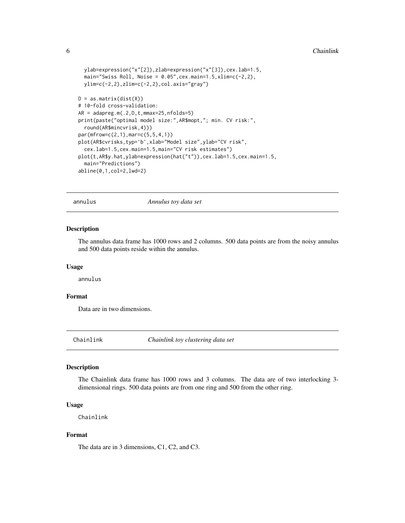```
ylab=expression("x"[2]),zlab=expression("x"[3]),cex.lab=1.5,
 main="Swiss Roll, Noise = 0.05", cex.main=1.5, xlim=c(-2, 2),
 ylim=c(-2,2),zlim=c(-2,2),col.axis="gray")
D = as_matrix(dist(X))# 10-fold cross-validation:
AR = \text{adapreg.m}(.2,D,t,\text{mmax}=25,\text{nfolds}=5)print(paste("optimal model size:",AR$mopt,"; min. CV risk:",
 round(AR$mincvrisk,4)))
par(mfrow=c(2,1),mar=c(5,5,4,1))
plot(AR$cvrisks,typ='b',xlab="Model size",ylab="CV risk",
 cex.lab=1.5,cex.main=1.5,main="CV risk estimates")
plot(t,AR$y.hat,ylab=expression(hat("t")),cex.lab=1.5,cex.main=1.5,
 main="Predictions")
abline(0,1,col=2,lwd=2)
```
annulus *Annulus toy data set*

### Description

The annulus data frame has 1000 rows and 2 columns. 500 data points are from the noisy annulus and 500 data points reside within the annulus.

#### Usage

annulus

#### Format

Data are in two dimensions.

Chainlink *Chainlink toy clustering data set*

# Description

The Chainlink data frame has 1000 rows and 3 columns. The data are of two interlocking 3 dimensional rings. 500 data points are from one ring and 500 from the other ring.

#### Usage

Chainlink

### Format

The data are in 3 dimensions, C1, C2, and C3.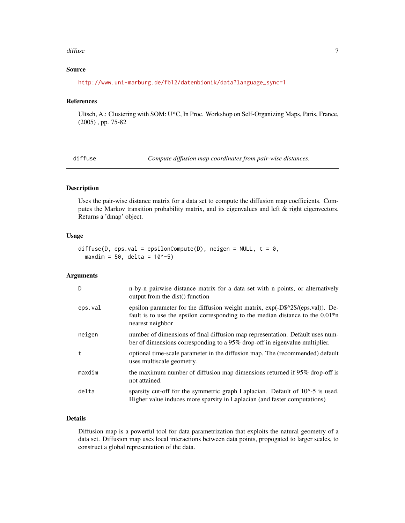#### <span id="page-6-0"></span>diffuse **7**

# Source

[http://www.uni-marburg.de/fb12/datenbionik/data?language\\_sync=1](http://www.uni-marburg.de/fb12/datenbionik/data?language_sync=1)

# References

Ultsch, A.: Clustering with SOM: U\*C, In Proc. Workshop on Self-Organizing Maps, Paris, France, (2005) , pp. 75-82

<span id="page-6-1"></span>diffuse *Compute diffusion map coordinates from pair-wise distances.*

#### Description

Uses the pair-wise distance matrix for a data set to compute the diffusion map coefficients. Computes the Markov transition probability matrix, and its eigenvalues and left & right eigenvectors. Returns a 'dmap' object.

# Usage

```
diffuse(D, eps.val = epsilonCompute(D), neigen = NULL, t = 0,
  maxdim = 50, delta = 10^{\circ} - 5)
```
# Arguments

| D       | n-by-n pairwise distance matrix for a data set with n points, or alternatively<br>output from the dist() function                                                                        |
|---------|------------------------------------------------------------------------------------------------------------------------------------------------------------------------------------------|
| eps.val | epsilon parameter for the diffusion weight matrix, $exp(-D\$ ^2)(eps.val)). De-<br>fault is to use the epsilon corresponding to the median distance to the $0.01*$ n<br>nearest neighbor |
| neigen  | number of dimensions of final diffusion map representation. Default uses num-<br>ber of dimensions corresponding to a $95\%$ drop-off in eigenvalue multiplier.                          |
| t       | optional time-scale parameter in the diffusion map. The (recommended) default<br>uses multiscale geometry.                                                                               |
| maxdim  | the maximum number of diffusion map dimensions returned if 95% drop-off is<br>not attained.                                                                                              |
| delta   | sparsity cut-off for the symmetric graph Laplacian. Default of $10^{\circ}$ -5 is used.<br>Higher value induces more sparsity in Laplacian (and faster computations)                     |

### Details

Diffusion map is a powerful tool for data parametrization that exploits the natural geometry of a data set. Diffusion map uses local interactions between data points, propogated to larger scales, to construct a global representation of the data.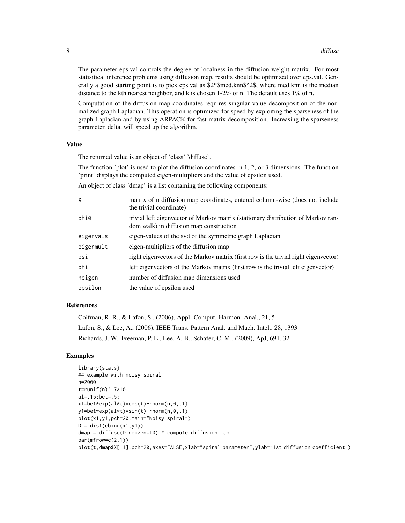The parameter eps.val controls the degree of localness in the diffusion weight matrix. For most statisitical inference problems using diffusion map, results should be optimized over eps.val. Generally a good starting point is to pick eps.val as  $2*$ \$med.knn\$^2\$, where med.knn is the median distance to the kth nearest neighbor, and k is chosen  $1-2\%$  of n. The default uses  $1\%$  of n.

Computation of the diffusion map coordinates requires singular value decomposition of the normalized graph Laplacian. This operation is optimized for speed by exploiting the sparseness of the graph Laplacian and by using ARPACK for fast matrix decomposition. Increasing the sparseness parameter, delta, will speed up the algorithm.

#### Value

The returned value is an object of 'class' 'diffuse'.

The function 'plot' is used to plot the diffusion coordinates in 1, 2, or 3 dimensions. The function 'print' displays the computed eigen-multipliers and the value of epsilon used.

An object of class 'dmap' is a list containing the following components:

| X         | matrix of n diffusion map coordinates, entered column-wise (does not include<br>the trivial coordinate)                      |
|-----------|------------------------------------------------------------------------------------------------------------------------------|
| phi0      | trivial left eigenvector of Markov matrix (stationary distribution of Markov ran-<br>dom walk) in diffusion map construction |
| eigenvals | eigen-values of the svd of the symmetric graph Laplacian                                                                     |
| eigenmult | eigen-multipliers of the diffusion map                                                                                       |
| psi       | right eigenvectors of the Markov matrix (first row is the trivial right eigenvector)                                         |
| phi       | left eigenvectors of the Markov matrix (first row is the trivial left eigenvector)                                           |
| neigen    | number of diffusion map dimensions used                                                                                      |
| epsilon   | the value of epsilon used                                                                                                    |

# References

Coifman, R. R., & Lafon, S., (2006), Appl. Comput. Harmon. Anal., 21, 5 Lafon, S., & Lee, A., (2006), IEEE Trans. Pattern Anal. and Mach. Intel., 28, 1393 Richards, J. W., Freeman, P. E., Lee, A. B., Schafer, C. M., (2009), ApJ, 691, 32

```
library(stats)
## example with noisy spiral
n=2000
t=runif(n)^.7*10
al=.15;bet=.5;
x1=bet*exp(al*t)*cos(t)+rnorm(n,0,.1)
y1=bet*exp(al*t)*sin(t)+rnorm(n,0,.1)
plot(x1,y1,pch=20,main="Noisy spiral")
D = dist(cbind(x1, y1))dmap = diffuse(D,neigen=10) # compute diffusion map
par(mfrow=c(2,1))
plot(t,dmap$X[,1],pch=20,axes=FALSE,xlab="spiral parameter",ylab="1st diffusion coefficient")
```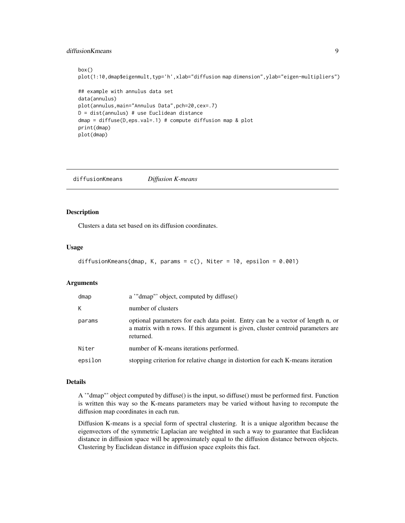# <span id="page-8-0"></span>diffusionKmeans 9

```
box()
plot(1:10,dmap$eigenmult,typ='h',xlab="diffusion map dimension",ylab="eigen-multipliers")
## example with annulus data set
data(annulus)
plot(annulus,main="Annulus Data",pch=20,cex=.7)
D = dist(annulus) # use Euclidean distance
dmap = diffuse(D,eps.val=.1) # compute diffusion map & plot
print(dmap)
plot(dmap)
```
<span id="page-8-1"></span>diffusionKmeans *Diffusion K-means*

#### Description

Clusters a data set based on its diffusion coordinates.

#### Usage

```
diffusionKmeans(dmap, K, params = c(), Niter = 10, epsilon = 0.001)
```
#### Arguments

| dmap    | a "dmap" object, computed by diffuse()                                                                                                                                          |
|---------|---------------------------------------------------------------------------------------------------------------------------------------------------------------------------------|
| K       | number of clusters                                                                                                                                                              |
| params  | optional parameters for each data point. Entry can be a vector of length n, or<br>a matrix with n rows. If this argument is given, cluster centroid parameters are<br>returned. |
| Niter   | number of K-means iterations performed.                                                                                                                                         |
| epsilon | stopping criterion for relative change in distortion for each K-means iteration                                                                                                 |

# Details

A '"dmap"' object computed by diffuse() is the input, so diffuse() must be performed first. Function is written this way so the K-means parameters may be varied without having to recompute the diffusion map coordinates in each run.

Diffusion K-means is a special form of spectral clustering. It is a unique algorithm because the eigenvectors of the symmetric Laplacian are weighted in such a way to guarantee that Euclidean distance in diffusion space will be approximately equal to the diffusion distance between objects. Clustering by Euclidean distance in diffusion space exploits this fact.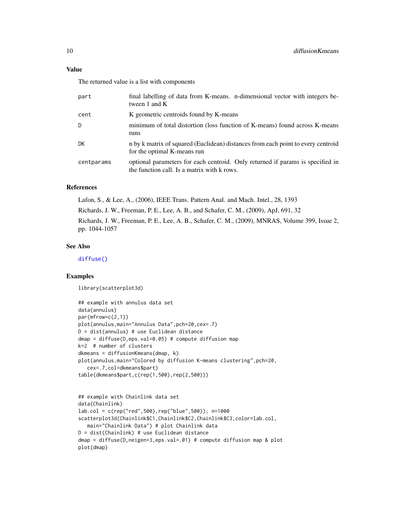# <span id="page-9-0"></span>Value

The returned value is a list with components

| part       | final labelling of data from K-means. n-dimensional vector with integers be-<br>tween $1$ and $K$                             |
|------------|-------------------------------------------------------------------------------------------------------------------------------|
| cent       | K geometric centroids found by K-means                                                                                        |
| D          | minimum of total distortion (loss function of K-means) found across K-means<br>runs                                           |
| DK         | n by k matrix of squared (Euclidean) distances from each point to every centroid<br>for the optimal K-means run               |
| centparams | optional parameters for each centroid. Only returned if params is specified in<br>the function call. Is a matrix with k rows. |

# References

Lafon, S., & Lee, A., (2006), IEEE Trans. Pattern Anal. and Mach. Intel., 28, 1393 Richards, J. W., Freeman, P. E., Lee, A. B., and Schafer, C. M., (2009), ApJ, 691, 32 Richards, J. W., Freeman, P. E., Lee, A. B., Schafer, C. M., (2009), MNRAS, Volume 399, Issue 2, pp. 1044-1057

# See Also

[diffuse\(\)](#page-6-1)

# Examples

library(scatterplot3d)

```
## example with annulus data set
data(annulus)
par(mfrow=c(2,1))
plot(annulus,main="Annulus Data",pch=20,cex=.7)
D = dist(annulus) # use Euclidean distance
dmap = diffuse(D,eps.val=0.05) # compute diffusion map
k=2 # number of clusters
dkmeans = diffusionKmeans(dmap, k)
plot(annulus,main="Colored by diffusion K-means clustering",pch=20,
   cex=.7,col=dkmeans$part)
table(dkmeans$part,c(rep(1,500),rep(2,500)))
```

```
## example with Chainlink data set
data(Chainlink)
lab.col = c(rep("red",500),rep("blue",500)); n=1000
scatterplot3d(Chainlink$C1,Chainlink$C2,Chainlink$C3,color=lab.col,
  main="Chainlink Data") # plot Chainlink data
D = dist(Chainlink) # use Euclidean distance
dmap = diffuse(D,neigen=3,eps.val=.01) # compute diffusion map & plot
plot(dmap)
```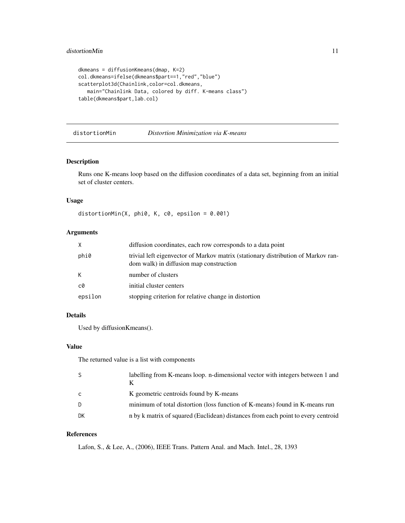```
dkmeans = diffusionKmeans(dmap, K=2)
col.dkmeans=ifelse(dkmeans$part==1,"red","blue")
scatterplot3d(Chainlink,color=col.dkmeans,
  main="Chainlink Data, colored by diff. K-means class")
table(dkmeans$part,lab.col)
```

```
distortionMin Distortion Minimization via K-means
```
#### Description

Runs one K-means loop based on the diffusion coordinates of a data set, beginning from an initial set of cluster centers.

# Usage

```
distortionMin(X, phi0, K, c0, epsilon = 0.001)
```
# Arguments

| X       | diffusion coordinates, each row corresponds to a data point                                                                  |
|---------|------------------------------------------------------------------------------------------------------------------------------|
| phi0    | trivial left eigenvector of Markov matrix (stationary distribution of Markov ran-<br>dom walk) in diffusion map construction |
| K       | number of clusters                                                                                                           |
| c0      | initial cluster centers                                                                                                      |
| epsilon | stopping criterion for relative change in distortion                                                                         |

# Details

Used by diffusionKmeans().

# Value

The returned value is a list with components

| S. | labelling from K-means loop. n-dimensional vector with integers between 1 and    |
|----|----------------------------------------------------------------------------------|
| C  | K geometric centroids found by K-means                                           |
| D  | minimum of total distortion (loss function of K-means) found in K-means run      |
| DK | n by k matrix of squared (Euclidean) distances from each point to every centroid |

# References

Lafon, S., & Lee, A., (2006), IEEE Trans. Pattern Anal. and Mach. Intel., 28, 1393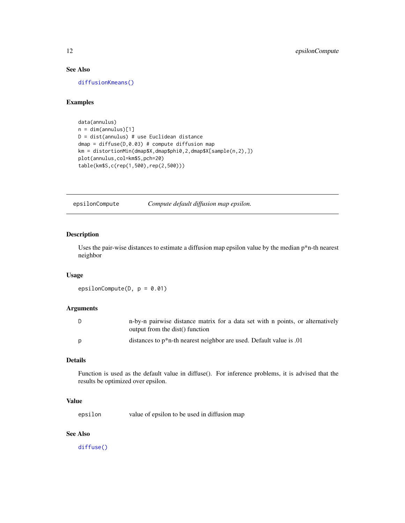# <span id="page-11-0"></span>See Also

[diffusionKmeans\(\)](#page-8-1)

# Examples

```
data(annulus)
n = dim(annulus)[1]D = dist(annulus) # use Euclidean distance
dmap = diffuse(D, 0.03) # compute diffusion mapkm = distortionMin(dmap$X,dmap$phi0,2,dmap$X[sample(n,2),])
plot(annulus,col=km$S,pch=20)
table(km$S,c(rep(1,500),rep(2,500)))
```
epsilonCompute *Compute default diffusion map epsilon.*

# Description

Uses the pair-wise distances to estimate a diffusion map epsilon value by the median p\*n-th nearest neighbor

#### Usage

epsilonCompute( $D$ ,  $p = 0.01$ )

#### Arguments

| - D | n-by-n pairwise distance matrix for a data set with n points, or alternatively<br>output from the dist() function |
|-----|-------------------------------------------------------------------------------------------------------------------|
| D   | distances to $p^*n$ -th nearest neighbor are used. Default value is 0.01                                          |

#### Details

Function is used as the default value in diffuse(). For inference problems, it is advised that the results be optimized over epsilon.

#### Value

epsilon value of epsilon to be used in diffusion map

# See Also

[diffuse\(\)](#page-6-1)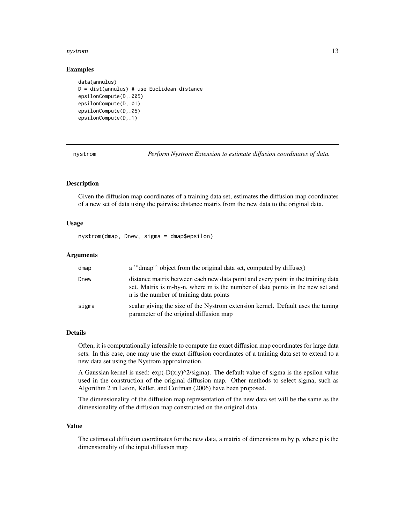#### <span id="page-12-0"></span>nystrom and the contract of the contract of the contract of the contract of the contract of the contract of the contract of the contract of the contract of the contract of the contract of the contract of the contract of th

#### Examples

```
data(annulus)
D = dist(annulus) # use Euclidean distance
epsilonCompute(D,.005)
epsilonCompute(D,.01)
epsilonCompute(D,.05)
epsilonCompute(D,.1)
```
nystrom *Perform Nystrom Extension to estimate diffusion coordinates of data.*

# Description

Given the diffusion map coordinates of a training data set, estimates the diffusion map coordinates of a new set of data using the pairwise distance matrix from the new data to the original data.

#### Usage

nystrom(dmap, Dnew, sigma = dmap\$epsilon)

# **Arguments**

| dmap  | a "dmap" object from the original data set, computed by diffuse()                                                                                                                                             |
|-------|---------------------------------------------------------------------------------------------------------------------------------------------------------------------------------------------------------------|
| Dnew  | distance matrix between each new data point and every point in the training data<br>set. Matrix is m-by-n, where m is the number of data points in the new set and<br>n is the number of training data points |
| sigma | scalar giving the size of the Nystrom extension kernel. Default uses the tuning<br>parameter of the original diffusion map                                                                                    |

#### Details

Often, it is computationally infeasible to compute the exact diffusion map coordinates for large data sets. In this case, one may use the exact diffusion coordinates of a training data set to extend to a new data set using the Nystrom approximation.

A Gaussian kernel is used:  $exp(-D(x,y)^2)/2$  (sigma). The default value of sigma is the epsilon value used in the construction of the original diffusion map. Other methods to select sigma, such as Algorithm 2 in Lafon, Keller, and Coifman (2006) have been proposed.

The dimensionality of the diffusion map representation of the new data set will be the same as the dimensionality of the diffusion map constructed on the original data.

### Value

The estimated diffusion coordinates for the new data, a matrix of dimensions m by p, where p is the dimensionality of the input diffusion map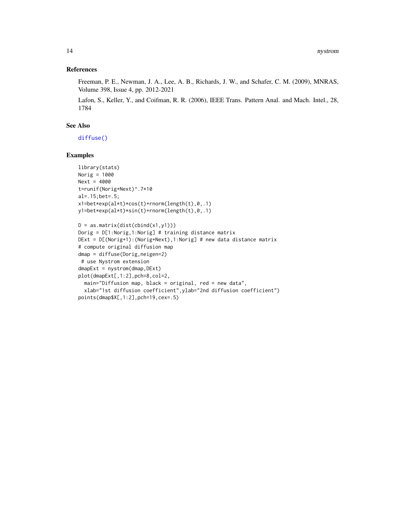#### <span id="page-13-0"></span>References

Freeman, P. E., Newman, J. A., Lee, A. B., Richards, J. W., and Schafer, C. M. (2009), MNRAS, Volume 398, Issue 4, pp. 2012-2021

Lafon, S., Keller, Y., and Coifman, R. R. (2006), IEEE Trans. Pattern Anal. and Mach. Intel., 28, 1784

### See Also

[diffuse\(\)](#page-6-1)

```
library(stats)
Norig = 1000
Next = 4000
t=runif(Norig+Next)^.7*10
al=.15;bet=.5;
x1=bet*exp(al*t)*cos(t)+rnorm(length(t),0,.1)
y1=bet*exp(al*t)*sin(t)+rnorm(length(t),0,.1)
```

```
D = as.matrix(dist(cbind(x1,y1)))
Dorig = D[1:Norig,1:Norig] # training distance matrix
DExt = D[(Norig+1):(Norig+Next),1:Norig] # new data distance matrix
# compute original diffusion map
dmap = diffuse(Dorig,neigen=2)
 # use Nystrom extension
dmapExt = nystrom(dmap, DExt)plot(dmapExt[,1:2],pch=8,col=2,
  main="Diffusion map, black = original, red = new data",
  xlab="1st diffusion coefficient",ylab="2nd diffusion coefficient")
points(dmap$X[,1:2],pch=19,cex=.5)
```